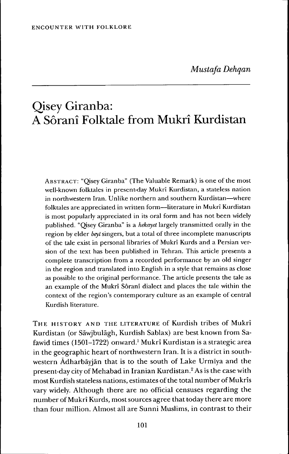# Qisey Giranba: A Sôranî Folktale from Mukrî Kurdistan

ABSTRACT: "Qisey Giranba" (The Valuable Remark) is one of the most well-known folktales in present-day Mukrî Kurdistan, a stateless nation in northwestern Iran. Unlike northern and southern Kurdistan—where folktales are appreciated in written form—literature in Mukrî Kurdistan is most popularly appreciated in its oral form and has not been widely published. "Qisey Giranba" is a *hekayet* largely transmitted orally in the region by elder *beyt* singers, but a total of three incomplete manuscripts of the tale exist in personal libraries of Mukri Kurds and a Persian version of the text has been published in Tehran. This article presents a complete transcription from a recorded performance by an old singer in the region and translated into English in a style that remains as close as possible to the original performance. The article presents the tale as an example of the Mukri Sôranî dialect and places the tale within the context of the region's contemporary culture as an example of central Kurdish literature.

THE HISTORY AND THE LITERATURE of Kurdish tribes of Mukrî Kurdistan (or Säwjbulägh, Kurdish Sablax) are best known from Safawid times (1501-1722) onward.' Mukrî Kurdistan is a strategic area in the geographic heart of northwestern Iran. It is a district in southwestern Ädharbäyjän that is to the south of Lake Urmlya and the present-day city of Mehabad in Iranian Kurdistan.<sup>2</sup> As is the case with most Kurdish stateless nations, estimates of the total number of Mukrîs vary widely. Although there are no official censuses regarding the number of Mukrî Kurds, most sources agree that today there are more than four million. Almost all are Sunni Muslims, in contrast to their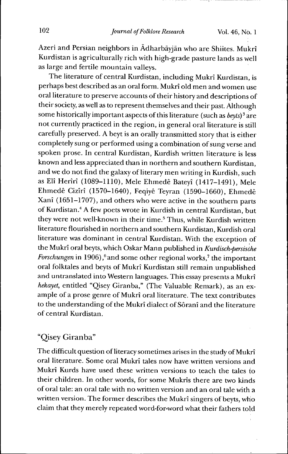Azeri and Persian neighbors in Ädharbäyjän who are Shiites. Mukrî Kurdistan is agriculturally rich with high-grade pasture lands as well as large and fertile mountain valleys.

The literature of central Kurdistan, including Mukrî Kurdistan, is perhaps best described as an oral form. Mukrî old men and women use oral literature to preserve accounts of their history and descriptions of their society, as well as to represent themselves and their past. Although some historically important aspects of this literature (such as  $bey \infty$ )<sup>3</sup> are not currently practiced in the region, in general oral literature is still carefully preserved. A beyt is an orally transmitted story that is either completely sung or performed using a combination of sung verse and spoken prose. In central Kurdistan, Kurdish written literature is less known and less appreciated than in northern and southern Kurdistan, and we do not find the galaxy of literary men writing in Kurdish, such as Elî Herîrî (1089-1110), Mele Ehmedê Bateyî (1417-1491), Mele Ehmedê Cizîrî (1570-1640), Feqiyê Teyran (1590-1660), Ehmedê Xanî (1651-1707), and others who were active in the southern parts of Kurdistan.'' A few poets wrote in Kurdish in central Kurdistan, but they were not well-known in their time.<sup>5</sup> Thus, while Kurdish written literature flourished in northern and southern Kurdistan, Kurdish oral literature was dominant in central Kurdistan. With the exception of the Mukrî oral beyts, which Oskar Mann published in *Kurdisch-persische Forschungen* in 1906),<sup>6</sup> and some other regional works,<sup>7</sup> the important oral folktales and beyts of Mukrî Kurdistan still remain unpublished and untranslated into Western languages. This essay presents a Mukrî *hekayet,* entitled "Qisey Giranba," (The Valuable Remark), as an example of a prose genre of Mukrî oral literature. The text contributes to the understanding of the Mukrî dialect of Sôranî and the literature of central Kurdistan.

# "Qisey Giranba"

The difficult question of literacy sometimes arises in the study of Mukrî oral literature. Some oral Mukrî tales now have written versions and Mukrî Kurds have used these written versions to teach the tales to their children. In other words, for some Mukrîs there are two kinds of oral tale: an oral tale with no written version and an oral tale with a written version. The former describes the Mukrî singers of beyts, who claim that they merely repeated word-for-word what their fathers told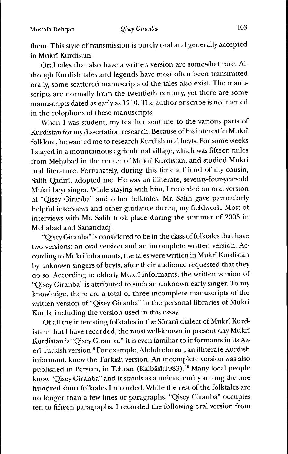them. This style of transmission is purely oral and generally accepted in Mukrî Kurdistan.

Oral tales that also have a written version are somewhat rare. Although Kurdish tales and legends have most often been transmitted orally, some scattered manuscripts of the tales also exist. The manuscripts are normally from the twentieth century, yet there are some manuscripts dated as early as 1710. The author or scribe is not named in the colophons of these manuscripts.

When I was student, my teacher sent me to the various parts of Kurdistan for my dissertation research. Because of his interest in Mukrî folklore, he wanted me to research Kurdish oral beyts. For some weeks I stayed in a mountainous agricultural village, which was fifteen miles from Mehabad in the center of Mukrî Kurdistan, and studied Mukrî oral literature. Fortunately, during this time a friend of my cousin, Salih Qadirî, adopted me. He was an illiterate, seventy-four-year-old Mukrî beyt singer. While staying with him, I recorded an oral version of "Qisey Giranba" and other folktales. Mr. Salih gave particularly helpful interviews and other guidance during my fieldwork. Most of interviews with Mr. Salih took place during the summer of 2003 in Mehabad and Sanandadj.

"Qisey Giranba" is considered to be in the class of folktales that have two versions: an oral version and an incomplete written version. According to Mukrî informants, the tales were written in Mukrî Kurdistan by unknown singers of beyts, after their audience requested that they do so. According to elderly Mukrî informants, the written version of "Qisey Giranba" is attributed to such an unknown early singer. To my knowledge, there are a total of three incomplete manuscripts of the written version of "Qisey Giranba" in the personal libraries of Mukrî Kurds, including the version used in this essay.

Of all the interesting folktales in the Sôranî dialect of Mukrî Kurdistan<sup>8</sup> that I have recorded, the most well-known in present-day Mukrî Kurdistan is "Qisey Giranba." It is even familiar to informants in its Azerî Turkish version.<sup>9</sup> For example, Abdulrehman, an illiterate Kurdish informant, knew the Turkish version. An incomplete version was also published in Persian, in Tehran (Kalbäsi:1983)."' Many local people know "Qisey Giranba" and it stands as a unique entity among the one hundred short folktales I recorded. While the rest of the folktales are no longer than a few lines or paragraphs, "Qisey Giranba" occupies ten to fifteen paragraphs. I recorded the following oral version from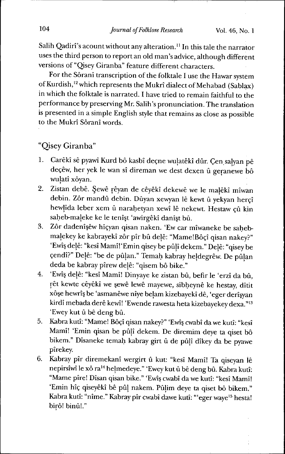Salih Qadirî's acount without any alteration.<sup>11</sup> In this tale the narrator uses the third person to report an old man's advice, although different versions of "Qisey Giranba" feature different characters.

For the Sôranî transcription of the folktale I use the Hawar system of Kurdish,<sup>12</sup> which represents the Mukrî dialect of Mehabad (Sablax) in which the folktale is narrated. I have tried to remain faithful to the performance by preserving Mr. Salih's pronunciation. The translation is presented in a simple English style that remains as close as possible to the Mukrî Sôranî words.

"Qisey Giranba"

- 1. Carêkî sê pyawî Kurd bô kasbî deçne wulatêkî dûr. Çen salyan pê deçêw, her yek le wan sî direman we dest dexen û geranewe *hô* wulatî xôyan.
- 2. Zistan debê. Çewê rêyan de cêyêkî dekewê we le malêkî mîwan debin. Zôr mandû debin. Dûyan xewyan lê kewt û yekyan herçî hewlîda leber xem û narahetyan xewî lê nekewt. Hestaw çû kin saheb-maleke ke le tenî§t 'awirgêkî danî§t bû.
- 3. Zôr dadenî§êw hîçyan qisan naken. 'Ew car mîwaneke be sahebmalekey ke kabrayekî zôr pîr bû dejê: "MamelBôçî qisan nakey?" 'Ewî§ dejê: "kesî Mamî! 'Emin qisey be pûjî dekem." Dejê: "qisey be çendî?" Dejê: "be de pûjan." Temah kabray hejdegrêw. De pûjan deda be kabray pîrew dejê: "qisem bô bike."
- 4. 'Ewî§ dejê: "kesî Mamî! Dinyaye ke zistan bû, befir le 'erzî da bû, rêt kewte cêyêkî we §ewê lewê mayewe, sibheynê ke hestay, dîtit xôçe hewrîç be 'asmanêwe nîye bejam kizebayekî de, 'eger derî§yan kirdî mebada derê kewî! 'Ewende rawesta heta kizebayekey dexa."<sup>13</sup> 'Ewey kut û bê deng bû.
- 5. Kabra kutî: "Mame! Bôçî qisan nakey?" 'Ewî§ cwabî da we kutî: "kesî Mamî! 'Emin qisan be pûjî dekem. De diremim deye ta qiset bô bikem." Dîsaneke temah kabray girt û de pûjî dîkey da be pyawe pîrekey.
- 6. Kabray pîr diremekanî wergirt û kut: "kesî Mamî! Ta qiseyan le nepirsîwî le xô ra<sup>14</sup> helmedeye." 'Ewey kut û bê deng bû. Kabra kutî: "Mame pîre! Dîsan qisan bike." 'Ewî§ cwabî da we kutî: "kesî Mamî! 'Emin hîç qiseyêkî bê pûj nakem. Pûjim deye ta qiset bô bikem." Kabra kutî: "nîme." Kabray pîr cwabî dawe kutî: "'eger waye<sup>15</sup> hesta! birô! binû!."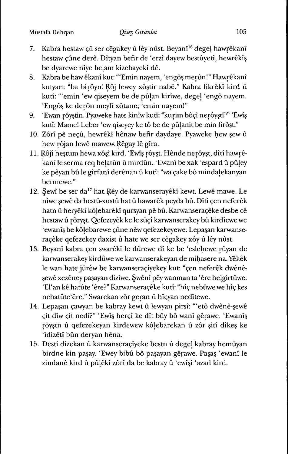- 7. Kabra hestaw *ç\x* ser cêgakey û ley nûst. Beyanî"' dégel hawrêkanî hestaw çûne derê. Dîtyan befir de 'erzî dayew bestûyetî, hewrêkî§ be dyarewe nîye belam kizebayekî de.
- 8. Kabra be hawêkanî kut: "'Emin nayem, 'engô§ merôn!" Hawrêkanî kutyan: "ba birôyn! Rôj lewey xô§tir nabê." Kabra fikrêkî kird û kutî: "'emin 'ew qiseyem be de pûlan kirîwe, dégel 'engô nayem. 'Engô§ ke derôn meylî xôtane; 'emin nayem!"
- 9. 'Ewan rôy§tin. Pyaweke hate kinîw kutî: "kurim bôçî nerôyçtî?" 'Ewî§ kutî: Mame! Leber 'ew qiseyey ke tô be de pûlanit be min firô§t."
- 10. Zôrî pê neçû, hewrêkî hênaw befir daydaye. Pyaweke hew §ew û hew rôjan lewê mawew. Rêgay lê gîra.
- 11. Rôjî heçtum hewaxôçî kird. 'Ewî§ rôyçt. Hênde nerôyçt, dîtî hawrêkanî le serma req helatûn û mirdûn. 'Ewanî be xak 'espard û pûley ke pêyan bû le gîrfanî derênan û kutî: "wa cake bô mindalekanyan bermewe."
- 12. Şewî be ser da<sup>17</sup> hat. Rêy de karwanserayêkî kewt. Lewê mawe. Le nîwe §ewê da hestû-xustû hat û hawarêk peyda bû. Dîtî çen neferêk hatn û heryêkî kôlebarêkî qursyan pê bû. Karwanseraçêke desbe-cê hestaw û rôryçt. Qefezeyêk ke le sûçî karwanserakey bû kirdîewe we 'ewanî§ be kôlebarewe çûne nêw qefezekeyewe. Lepaçan karwanseraçêke qefezekey daxist û hate we ser cêgakey xôy û lêy nûst.
- 13. Beyanî kabra çen swarêkî le dûrewe dî ke be 'eslehewe rûyan de karwanserakey kirdûwe we karwanserakeyan de mihasere na. Yêkêk le wan hate jûrêw be karwanseraçîyekey kut: "çen neferêk dwênê- §ewê xezêney paçayan dizîwe. §wênî pêy wanman ta 'ère helgirtûwe. 'El'an kê hatûte 'ère?" Karwanseraçêke kutî: "hîç nebûwe we hîç kes nehatûte'êre." Swarekan zôr geran û hîçyan nedîtewe.
- 14. Lepa§an çawyan be kabray kewt û lewyan pirsî: "'etô dwênê-§ewê çit dîw çit nedî?" 'Ewî§ herçî ke dît bûy bô wanî gêrawe. 'Ewanî§ rôyçtn û qefezekeyan kirdewew kôlebarekan û zôr §itî dîke§ ke 'îdizêtî bûn deryan hêna.
- 15. Destî dizekan û karwanseraçîyeke bestn û dégel kabray hemûyan birdne kin pa§ay. 'Ewey bibû bô pa§ayan gêrawe. Paçaç 'ewanî le zindanê kird û pûlêkî zôrî da be kabray û 'ewî§î 'azad kird.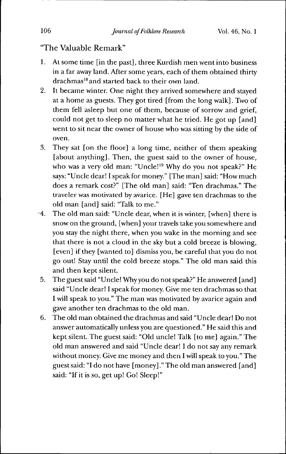# "The Valuable Remark"

- 1. At some time [in the past], three Kurdish men went into business in a far away land. After some years, each of them obtained thirty drachmas'\* and started back to their own land.
- 2. It became winter. One night they arrived somewhere and stayed at a home as guests. They got tired [from the long walk]. Two of them fell asleep but one of them, because of sorrow and grief, could not get to sleep no matter what he tried. He got up [and] went to sit near the owner of house who was sitting by the side of oven.
- 3. They sat [on the floor] a long time, neither of them speaking [about anything]. Then, the guest said to the owner of house, who was a very old man: "Uncle!<sup>19</sup> Why do you not speak?" He says: "Uncle dear! I speak for money." [The man] said: "How much does a remark cost?" [The old man] said: "Ten drachmas." The traveler was motivated by avarice. [He] gave ten drachmas to the old man [and] said: "Talk to me."
- -4. The old man said: "Uncle dear, when it is winter, [when] there is snow on the ground, [when] your travels take you somewhere and you stay the night there, when you wake in the morning and see that there is not a cloud in the sky but a cold breeze is blowing, [even] if they [wanted to] dismiss you, be careful that you do not go out! Stay until the cold breeze stops." The old man said this and then kept silent.
- 5. The guest said "Uncle! Why you do not speak?" He answered [and] said "Uncle dear! I speak for money. Give me ten drachmas so that I will speak to you." The man was motivated by avarice again and gave another ten drachmas to the old man.
- 6. The old man obtained the drachmas and said "Uncle dear! Do not answer automatically unless you are questioned." He said this and kept silent. The guest said: "Old uncle! Talk [to me] again." The old man answered and said "Uncle dear! I do not say any remark without money. Give me money and then I will speak to you." The guest said: "I do not have [money]." The old man answered [and] said: "If it is so, get up! Go! Sleep!"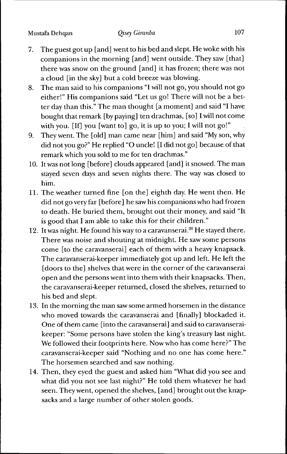- 7. The guest got up [and] went to his bed and slept. He woke with his companions in the morning [and] went outside. They saw [that] there was snow on the ground [and] it has frozen; there was not a cloud [in the sky] but a cold breeze was blowing.
- 8. The man said to his companions "I will not go, you should not go either!" His companions said "Let us go! There will not be a better day than this." The man thought [a moment] and said "I have bought that remark [by paying] ten drachmas, [so] I will not come with you. [If] you [want to] go, it is up to you; I will not go!"
- 9. They went. The [old] man came near [him] and said "My son, why did not you go?" He replied "O uncle! [I did not go] because of that remark which you sold to me for ten drachmas."
- 10. It was not long [before] clouds appeared [and] it snowed. The man stayed seven days and seven nights there. The way was closed to him.
- 11. The weather turned fine [on the] eighth day. He went then. He did not go very far [before] he saw his companions who had frozen to death. He buried them, brought out their money, and said "It is good that I am able to take this for their children."
- 12. It was night. He found his way to a caravanserai. $20$  He stayed there. There was noise and shouting at midnight. He saw some persons come [to the caravanserai] each of them with a heavy knapsack. The caravanserai-keeper immediately got up and left. He left the [doors to the] shelves that were in the corner of the caravanserai open and the persons went into them with their knapsacks. Then, the caravanserai-keeper returned, closed the shelves, returned to his bed and slept.
- 13. In the morning the man saw some armed horsemen in the distance who moved towards the caravanserai and [finally] blockaded it. One of them came [into the caravanserai] and said to caravanseraikeeper: "Some persons have stolen the king's treasury last night. We followed their footprints here. Now who has come here?" The caravanserai-keeper said "Nothing and no one has come here." The horsemen searched and saw nothing.
- 14. Then, they eyed the guest and asked him "What did you see and what did you not see last night?" He told them whatever he had seen. They went, opened the shelves, [and] brought out the knapsacks and a large number of other stolen goods.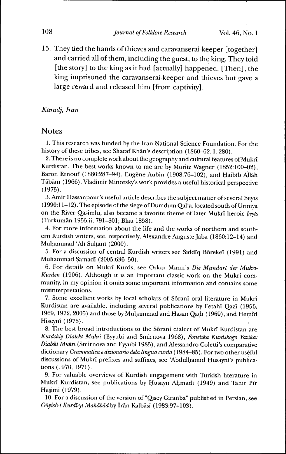15. They tied the hands of thieves and caravanserai-keeper [together] and carried all of them, including the guest, to the king. They told [the story] to the king as it had [actually] happened. [Then], the king imprisoned the caravanserai-keeper and thieves but gave a large reward and released him [from captivity].

### *Karadj, Iran*

### Notes

1. This research was funded by the Iran National Science Foundation. For the history of these tribes, see Sharaf Khān's description (1860-62: I, 280).

2. There is no complete work about the geography and cultural features of Mukrî Kurdistan. The best works known to me are by Moritz Wagner (1852:100-02), Baron Ernouf (1880:287-94), Eugène Aubin (1908:76-102), and Haibîb Allah Täbäni (1966). Vladimir Minorsky's work provides a useful historical perspective (1975).

3. Amir Hassanpour's useful article describes the subject matter of several beyts (1990:11-12). The episode of the siege of Dumdum Qal'a, located south of Urmîya on the River Qâsimlû, also became a favorite theme of later Mukrî heroic *beyts* (Turkumân 1955:ii, 791-801; Blau 1858).

4. For more information about the life and the works of northern and southern Kurdish writers, see, respectively, Alexandre Auguste Jaba (1860:12-14) and Muhammad 'Ali Sultânî (2000).

5. For a discussion of central Kurdish writers see Siddîq Bôrekeî (1991) and Muhammad Samadî (2005:636-50).

6. For details on Mukrî Kurds, see Oskar Mann's *Die Mundart der Mukri-Kurden* (1906). Although it is an important classic work on the Mukrî community, in my opinion it omits some important information and contains some misinterpretations.

7. Some excellent works by local scholars of Sôranî oral literature in Mukrî Kurdistan are available, including several publications by Fetahî Qazî (1956, 1969, 1972, 2005) and those by Muhammad and Hasan Qadī (1969), and Hemîd Hiseynî (1976).

8. The best broad introductions to the Sôranî dialect of Mukrî Kurdistan are *Kurdskiy Dialekt Mukri* (Eyyubi and Smirnova 1968), *Fonetika Kurdskogo Yazika: Dialekt Mukri* (Smirnova and Eyyubi 1985), and Alessandro Coletti's comparative dictionary *Grammatica e dizionario delà lingua curda* (1984-85). For two other useful discussions of Mukrî prefixes and suffixes, see 'Abdulhamid Husaynî's publications (1970, 1971).

9. For valuable overviews of Kurdish engagement with Turkish literature in Mukrî Kurdistan, see publications by Husayn Ahmadī (1949) and Tahir Pîr Haçimî (1979).

10. For a discussion of the version of "Qisey Giranba" publisbed in Persian, see *Qüyish-iKurdi-yiMahâbâdhy* Irán Kalbâsî (1983:97-103). '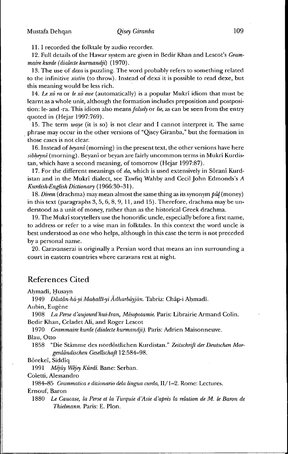11.1 recorded the folktale by audio recorder.

12. Full details of the Hawar system are given in Bedir Khan and Lescot's *Grammaire kurde (dialecte kurmandji)* (1970).

13. The use of *dexa* is puzzling. The word probably refers to something related to the infinitive *xistin* (to throw). Instead of dexa it is possible to read dexe, but this meaning would be less rich.

14. Le *xô ra* or *le xô ewe* (automatically) is a popular Mukrî idiom that must be learnt as a whole unit, although the formation includes preposition and postposition: le- and -ra. This idiom also *menns falsely* or *lie,* as can be seen from the entry quoted in (Hejar 1997:769).

15. The term *waye* (it is so) is not clear and I cannot interpret it. The same phrase may occur in the other versions of "Qisey Giranba," but the formation in those cases is not clear.

16. Instead *oí beyanî (morning)* in the present text, the other versions have here *sibheynê* (morning). Beyanî or beyan are fairly uncommon terms in Mukrî Kurdistan, which have a second meaning, of tomorrow (Hejar 1997:87).

17. For the different meanings of *da,* which is used extensively in Sôranî Kurdistan and in the Mukrî dialect, see Tawfiq Wahby and Cecil John Edmonds's *A Kurdish-Fnglish Dictionary* ( 1966:30-31 ).

18. Direm (drachma) may mean almost the same thing as its synonym  $p\hat{u}l$  (money) in this text (paragraphs 3, 5, 6, 8, 9, 11, and 15). Therefore, drachma may be understood as a unit of money, rather than as the historical Greek drachma.

19. The Mukrî storytellers use the honorific uncle, especially before a first nanie, to address or refer to a wise man in folktales. In this context the word uncle is best understood as one who helps, although in this case the term is not preceded by a personal name.

20. Garavanserai is originally a Persian word that means an inn surrounding a court in eastern countries where caravans rest at night.

## References Cited

Ahmadī, Husayn

1949 *Dästän-hä-yi Mahallt-yi Adharbäyjän.* Tabriz: Ghap-i Ahmad!.

Aubin, Eugène

1908 *La Perse d'aujourd'hui-Iran, Mésopotamie.* Paris: Librairie Armand Golin. Bedir Khan, Geladet Ali, and Roger Lescot

1970 *Grammaire kurde (dialecte kurmandji).* Paris: Adrien Maisonneuve.

Blau, Otto

1858 "Die Stämme des nordöstlichen Kurdistan." *Zeitschrift der Deutschen Morgenländischen Gesellschaft* 12:584-98.

Bôrekeî, Siddîq

1991 *Mêjûy Wêjey Kûrdî.* Bane: Serban.

Goletti, Alessandro

1984—85 *GramTnatica e dizionario delà lingua curda,* II/1-2. Rome: Lectures.

Ernouf, Baron

1880 *Le Caucase, la Perse et la Turquie d'Asie d'après la relation de M. le Baron de Thielmann.* Paris: E. Pion.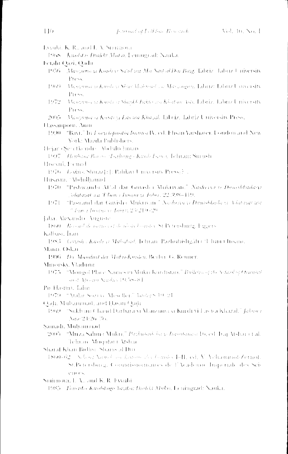1968 Knobt is Dialikt Matrix Lettingtonli Nauka. Fetaln Qazi, Qadu 1956. Marcama yi Kundi yi Sa'ul wa Ma Sayf al Din Bayg. Tabriz. Tabriz University Press. Mantana seKandesi Neur Mahmad sea Martingan, Tabitzi Tabitzi Tuwersity  $1969 -$ Press. 1972 - *Manzanoa yi Kandi yi Shaykh Falmo ang Khatani Ash,* Tabriz, Tabriz University Press. 2005 Manguna y Kundryr Lavica Khazal, Isbriz, Tabriz University Press, Hassamour, Anin 1990. "Bayt," In Lacyclopaedia builton IV, ed. Flisan Yarshater, London and New York: Mazda Publishers. Hejar (Seretkendr). Abdylia hinan 1997 - Henberg Baron, Trajhang (Kirab Farso, Telusan Surush) Hisecul, Fremul 1976. Loking Shmazlel: Palitari University Press; E. Husayni, 'Abdulbanud 1970. "Pishwanda Af'al dar Guyisha Mukriyan." Nashriya ve Danishkada yi Solutaryit a.a. Chair chosen yr Tabor, 22:398-119. 1971 - "Paswand dar Griyisha Mukriyan." Nashriya yi *Damshkola yi Mateyat wa* 2 Inner Insances Labor, 23(210-29) Jaba, Alexandre Auguste 1860. Recard de realisant de units bounder St Petersburg, Eggers Kalbasi, Iran 1983 Guyish (Kuidey) Mahalaid, Jehran Pazhubishgaha (Uhini Chisani, Main, Oskar 1906 Dy Mundart der MidsreKunden, Berlin, G. Retiner, Minorsky, Vladumi 1975. "Mongol Place Names in Mitkii Kurdistan," Bullelin of the School of Ournital and Alman Studen [965-8] Po Hasmo, Lahn 1979 "Anka Soziac Mescller," Varley 8 19-21 Qadi, Mubanmual, and Hasan Qadi 1969. "Sakhan Chand Darbarasi Manzumeyi Kurdi yi Laswa Khazal." Jahooy Nata: 24:26-36. Samadi, Muhammad 2005. "Muza Sahma Mukri," Paghuhish ha yi Immohinasi Doced, Itaq Atshat et al. Teluan Muqulati Alshar Sharaf Khan Bidhsi, Shams at Din 4860-62 Schort Vinole on Listone 35 Countes 4-41, ed. V. VeluminofeZernot. St.Petersbarg, Commissionnaties de l'Academie Imperiade des Sciences. Smirnova, L. V., and K. R. Evyubi

1985 - Fourtho Kurdshigo Yrgha: Dioblit Multiv, Leningrad: Nauka.

Evodá, K. R., and I. A. Smirbova.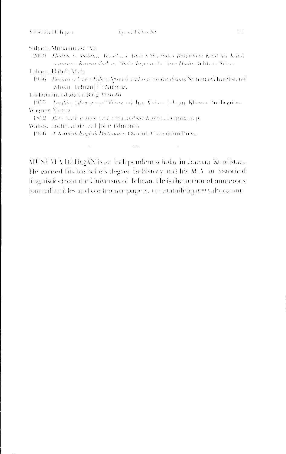Sultani, Muhammad / Mr

- 2000. Hadrocy Sultany, Alexis and Wartz Shamma Barrastay Kind and Kindi summers Associated an Abdie Invitition by Abdie, Johann Suha,
- Laboni, Habib Allah.
- 1966 Barnası yı Usa'ı Tabr'ı, İqtisade va İnsanı ye Kanlıstan, Ninumas'i Kurdistand Muku, JehranE': Nimruz.

Turkiumin, Iskaidar Bayg Munshi

- 1955. *Inciklet Womeners*: "Observed, Ing Alshar, Jehran: Khawu Publication. Wagner, Moraz.
- 1852 Representi Prison and and Louis brain Kumber, Leapzain in
- Waliby, Taylor, and Cecil John Filmonds

1966 A Kindsh English Dictionary, Oxford, Clarendon Press.

MUSTAFA DEHQAN is an independent scholar in Iranian Kurdistan. He earned his bachelor's degree in history and his M.A. in historical linguistics from the University of Telman. He is the author of numerous journal articles and conference papers, mustafadehgan@vahoo.com/